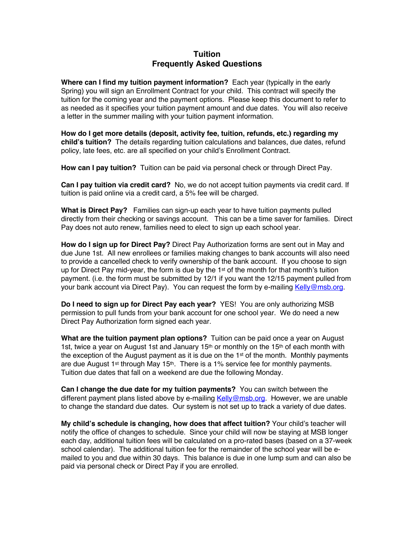## **Tuition Frequently Asked Questions**

**Where can I find my tuition payment information?** Each year (typically in the early Spring) you will sign an Enrollment Contract for your child. This contract will specify the tuition for the coming year and the payment options. Please keep this document to refer to as needed as it specifies your tuition payment amount and due dates. You will also receive a letter in the summer mailing with your tuition payment information.

**How do I get more details (deposit, activity fee, tuition, refunds, etc.) regarding my child's tuition?** The details regarding tuition calculations and balances, due dates, refund policy, late fees, etc. are all specified on your child's Enrollment Contract.

**How can I pay tuition?** Tuition can be paid via personal check or through Direct Pay.

**Can I pay tuition via credit card?** No, we do not accept tuition payments via credit card. If tuition is paid online via a credit card, a 5% fee will be charged.

**What is Direct Pay?** Families can sign-up each year to have tuition payments pulled directly from their checking or savings account. This can be a time saver for families. Direct Pay does not auto renew, families need to elect to sign up each school year.

**How do I sign up for Direct Pay?** Direct Pay Authorization forms are sent out in May and due June 1st. All new enrollees or families making changes to bank accounts will also need to provide a cancelled check to verify ownership of the bank account. If you choose to sign up for Direct Pay mid-year, the form is due by the  $1<sup>st</sup>$  of the month for that month's tuition payment. (i.e. the form must be submitted by 12/1 if you want the 12/15 payment pulled from your bank account via Direct Pay). You can request the form by e-mailing Kelly@msb.org.

**Do I need to sign up for Direct Pay each year?** YES! You are only authorizing MSB permission to pull funds from your bank account for one school year. We do need a new Direct Pay Authorization form signed each year.

**What are the tuition payment plan options?** Tuition can be paid once a year on August 1st, twice a year on August 1st and January 15<sup>th</sup> or monthly on the 15<sup>th</sup> of each month with the exception of the August payment as it is due on the 1st of the month. Monthly payments are due August 1<sup>st</sup> through May 15<sup>th</sup>. There is a 1% service fee for monthly payments. Tuition due dates that fall on a weekend are due the following Monday.

**Can I change the due date for my tuition payments?** You can switch between the different payment plans listed above by e-mailing Kelly@msb.org. However, we are unable to change the standard due dates. Our system is not set up to track a variety of due dates.

**My child's schedule is changing, how does that affect tuition?** Your child's teacher will notify the office of changes to schedule. Since your child will now be staying at MSB longer each day, additional tuition fees will be calculated on a pro-rated bases (based on a 37-week school calendar). The additional tuition fee for the remainder of the school year will be emailed to you and due within 30 days. This balance is due in one lump sum and can also be paid via personal check or Direct Pay if you are enrolled.